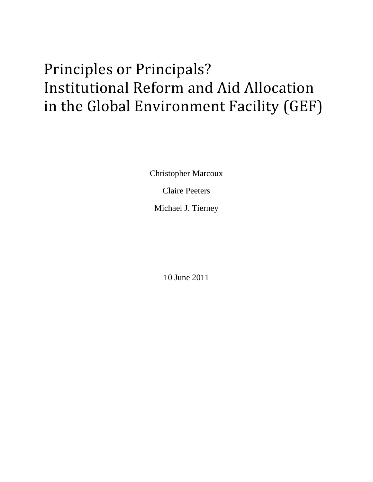# Principles or Principals? Institutional Reform and Aid Allocation in the Global Environment Facility (GEF)

Christopher Marcoux Claire Peeters

Michael J. Tierney

10 June 2011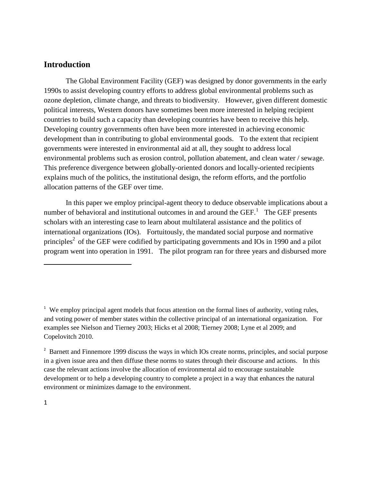# **Introduction**

The Global Environment Facility (GEF) was designed by donor governments in the early 1990s to assist developing country efforts to address global environmental problems such as ozone depletion, climate change, and threats to biodiversity. However, given different domestic political interests, Western donors have sometimes been more interested in helping recipient countries to build such a capacity than developing countries have been to receive this help. Developing country governments often have been more interested in achieving economic development than in contributing to global environmental goods. To the extent that recipient governments were interested in environmental aid at all, they sought to address local environmental problems such as erosion control, pollution abatement, and clean water / sewage. This preference divergence between globally-oriented donors and locally-oriented recipients explains much of the politics, the institutional design, the reform efforts, and the portfolio allocation patterns of the GEF over time.

In this paper we employ principal-agent theory to deduce observable implications about a number of behavioral and institutional outcomes in and around the  $GEF$ <sup>1</sup>. The GEF presents scholars with an interesting case to learn about multilateral assistance and the politics of international organizations (IOs). Fortuitously, the mandated social purpose and normative principles<sup>2</sup> of the GEF were codified by participating governments and IOs in 1990 and a pilot program went into operation in 1991. The pilot program ran for three years and disbursed more

<sup>&</sup>lt;sup>1</sup> We employ principal agent models that focus attention on the formal lines of authority, voting rules, and voting power of member states within the collective principal of an international organization. For examples see Nielson and Tierney 2003; Hicks et al 2008; Tierney 2008; Lyne et al 2009; and Copelovitch 2010.

<sup>&</sup>lt;sup>2</sup> Barnett and Finnemore 1999 discuss the ways in which IOs create norms, principles, and social purpose in a given issue area and then diffuse these norms to states through their discourse and actions. In this case the relevant actions involve the allocation of environmental aid to encourage sustainable development or to help a developing country to complete a project in a way that enhances the natural environment or minimizes damage to the environment.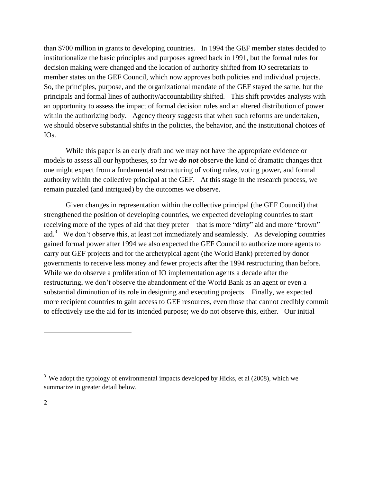than \$700 million in grants to developing countries. In 1994 the GEF member states decided to institutionalize the basic principles and purposes agreed back in 1991, but the formal rules for decision making were changed and the location of authority shifted from IO secretariats to member states on the GEF Council, which now approves both policies and individual projects. So, the principles, purpose, and the organizational mandate of the GEF stayed the same, but the principals and formal lines of authority/accountability shifted. This shift provides analysts with an opportunity to assess the impact of formal decision rules and an altered distribution of power within the authorizing body. Agency theory suggests that when such reforms are undertaken, we should observe substantial shifts in the policies, the behavior, and the institutional choices of IOs.

While this paper is an early draft and we may not have the appropriate evidence or models to assess all our hypotheses, so far we *do not* observe the kind of dramatic changes that one might expect from a fundamental restructuring of voting rules, voting power, and formal authority within the collective principal at the GEF. At this stage in the research process, we remain puzzled (and intrigued) by the outcomes we observe.

Given changes in representation within the collective principal (the GEF Council) that strengthened the position of developing countries, we expected developing countries to start receiving more of the types of aid that they prefer – that is more "dirty" aid and more "brown" aid.<sup>3</sup> We don't observe this, at least not immediately and seamlessly. As developing countries gained formal power after 1994 we also expected the GEF Council to authorize more agents to carry out GEF projects and for the archetypical agent (the World Bank) preferred by donor governments to receive less money and fewer projects after the 1994 restructuring than before. While we do observe a proliferation of IO implementation agents a decade after the restructuring, we don't observe the abandonment of the World Bank as an agent or even a substantial diminution of its role in designing and executing projects. Finally, we expected more recipient countries to gain access to GEF resources, even those that cannot credibly commit to effectively use the aid for its intended purpose; we do not observe this, either. Our initial

 $3$  We adopt the typology of environmental impacts developed by Hicks, et al (2008), which we summarize in greater detail below.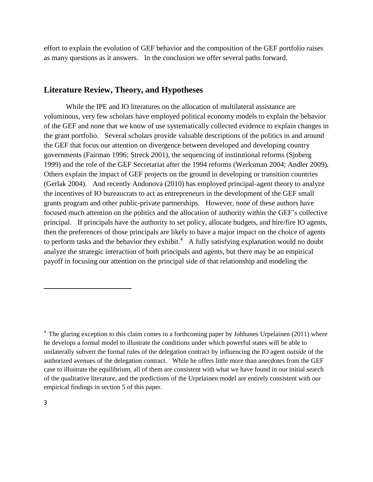effort to explain the evolution of GEF behavior and the composition of the GEF portfolio raises as many questions as it answers. In the conclusion we offer several paths forward.

# **Literature Review, Theory, and Hypotheses**

While the IPE and IO literatures on the allocation of multilateral assistance are voluminous, very few scholars have employed political economy models to explain the behavior of the GEF and none that we know of use systematically collected evidence to explain changes in the grant portfolio. Several scholars provide valuable descriptions of the politics in and around the GEF that focus our attention on divergence between developed and developing country governments (Fairman 1996; Streck 2001), the sequencing of institutional reforms (Sjoberg 1999) and the role of the GEF Secretariat after the 1994 reforms (Werksman 2004; Andler 2009). Others explain the impact of GEF projects on the ground in developing or transition countries (Gerlak 2004). And recently Andonova (2010) has employed principal-agent theory to analyze the incentives of IO bureaucrats to act as entrepreneurs in the development of the GEF small grants program and other public-private partnerships. However, none of these authors have focused much attention on the politics and the allocation of authority within the GEF's collective principal. If principals have the authority to set policy, allocate budgets, and hire/fire IO agents, then the preferences of those principals are likely to have a major impact on the choice of agents to perform tasks and the behavior they exhibit.<sup>4</sup> A fully satisfying explanation would no doubt analyze the strategic interaction of both principals and agents, but there may be an empirical payoff in focusing our attention on the principal side of that relationship and modeling the

 $4$  The glaring exception to this claim comes in a forthcoming paper by Johhanes Urpelainen (2011) where he develops a formal model to illustrate the conditions under which powerful states will be able to unilaterally subvert the formal rules of the delegation contract by influencing the IO agent *outside* of the authorized avenues of the delegation contract. While he offers little more than anecdotes from the GEF case to illustrate the equilibrium, all of them are consistent with what we have found in our initial search of the qualitative literature, and the predictions of the Urpelainen model are entirely consistent with our empirical findings in section 5 of this paper.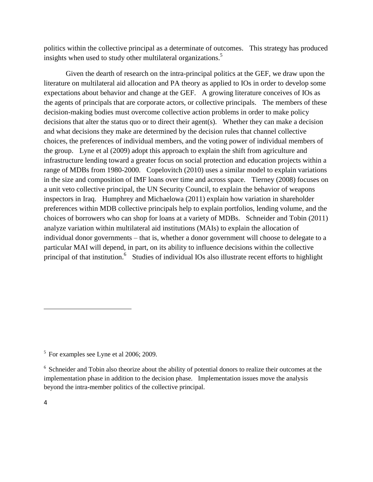politics within the collective principal as a determinate of outcomes. This strategy has produced insights when used to study other multilateral organizations.<sup>5</sup>

Given the dearth of research on the intra-principal politics at the GEF, we draw upon the literature on multilateral aid allocation and PA theory as applied to IOs in order to develop some expectations about behavior and change at the GEF. A growing literature conceives of IOs as the agents of principals that are corporate actors, or collective principals. The members of these decision-making bodies must overcome collective action problems in order to make policy decisions that alter the status quo or to direct their agent(s). Whether they can make a decision and what decisions they make are determined by the decision rules that channel collective choices, the preferences of individual members, and the voting power of individual members of the group. Lyne et al (2009) adopt this approach to explain the shift from agriculture and infrastructure lending toward a greater focus on social protection and education projects within a range of MDBs from 1980-2000. Copelovitch (2010) uses a similar model to explain variations in the size and composition of IMF loans over time and across space. Tierney (2008) focuses on a unit veto collective principal, the UN Security Council, to explain the behavior of weapons inspectors in Iraq. Humphrey and Michaelowa (2011) explain how variation in shareholder preferences within MDB collective principals help to explain portfolios, lending volume, and the choices of borrowers who can shop for loans at a variety of MDBs. Schneider and Tobin (2011) analyze variation within multilateral aid institutions (MAIs) to explain the allocation of individual donor governments – that is, whether a donor government will choose to delegate to a particular MAI will depend, in part, on its ability to influence decisions within the collective principal of that institution.<sup>6</sup> Studies of individual IOs also illustrate recent efforts to highlight

<sup>&</sup>lt;sup>5</sup> For examples see Lyne et al 2006; 2009.

<sup>&</sup>lt;sup>6</sup> Schneider and Tobin also theorize about the ability of potential donors to realize their outcomes at the implementation phase in addition to the decision phase. Implementation issues move the analysis beyond the intra-member politics of the collective principal.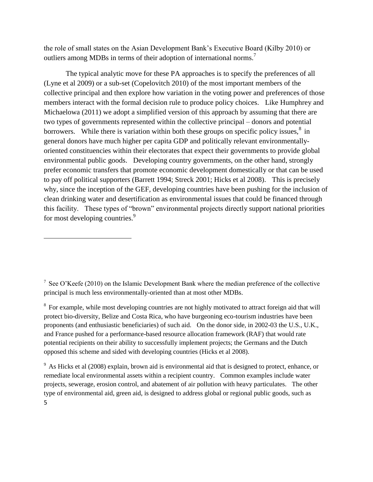the role of small states on the Asian Development Bank's Executive Board (Kilby 2010) or outliers among MDBs in terms of their adoption of international norms.<sup>7</sup>

The typical analytic move for these PA approaches is to specify the preferences of all (Lyne et al 2009) or a sub-set (Copelovitch 2010) of the most important members of the collective principal and then explore how variation in the voting power and preferences of those members interact with the formal decision rule to produce policy choices. Like Humphrey and Michaelowa (2011) we adopt a simplified version of this approach by assuming that there are two types of governments represented within the collective principal – donors and potential borrowers. While there is variation within both these groups on specific policy issues, $8$  in general donors have much higher per capita GDP and politically relevant environmentallyoriented constituencies within their electorates that expect their governments to provide global environmental public goods. Developing country governments, on the other hand, strongly prefer economic transfers that promote economic development domestically or that can be used to pay off political supporters (Barrett 1994; Streck 2001; Hicks et al 2008). This is precisely why, since the inception of the GEF, developing countries have been pushing for the inclusion of clean drinking water and desertification as environmental issues that could be financed through this facility. These types of "brown" environmental projects directly support national priorities for most developing countries.<sup>9</sup>

 $\overline{\phantom{a}}$ 

 $8\,$  For example, while most developing countries are not highly motivated to attract foreign aid that will protect bio-diversity, Belize and Costa Rica, who have burgeoning eco-tourism industries have been proponents (and enthusiastic beneficiaries) of such aid. On the donor side, in 2002-03 the U.S., U.K., and France pushed for a performance-based resource allocation framework (RAF) that would rate potential recipients on their ability to successfully implement projects; the Germans and the Dutch opposed this scheme and sided with developing countries (Hicks et al 2008).

5  $9<sup>9</sup>$  As Hicks et al (2008) explain, brown aid is environmental aid that is designed to protect, enhance, or remediate local environmental assets within a recipient country. Common examples include water projects, sewerage, erosion control, and abatement of air pollution with heavy particulates. The other type of environmental aid, green aid, is designed to address global or regional public goods, such as

<sup>&</sup>lt;sup>7</sup> See O'Keefe (2010) on the Islamic Development Bank where the median preference of the collective principal is much less environmentally-oriented than at most other MDBs.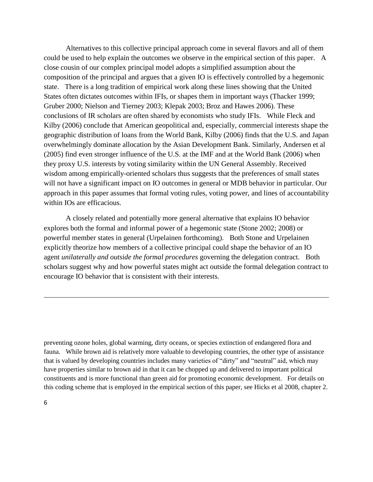Alternatives to this collective principal approach come in several flavors and all of them could be used to help explain the outcomes we observe in the empirical section of this paper. A close cousin of our complex principal model adopts a simplified assumption about the composition of the principal and argues that a given IO is effectively controlled by a hegemonic state. There is a long tradition of empirical work along these lines showing that the United States often dictates outcomes within IFIs, or shapes them in important ways (Thacker 1999; Gruber 2000; Nielson and Tierney 2003; Klepak 2003; Broz and Hawes 2006). These conclusions of IR scholars are often shared by economists who study IFIs. While Fleck and Kilby (2006) conclude that American geopolitical and, especially, commercial interests shape the geographic distribution of loans from the World Bank, Kilby (2006) finds that the U.S. and Japan overwhelmingly dominate allocation by the Asian Development Bank. Similarly, Andersen et al (2005) find even stronger influence of the U.S. at the IMF and at the World Bank (2006) when they proxy U.S. interests by voting similarity within the UN General Assembly. Received wisdom among empirically-oriented scholars thus suggests that the preferences of small states will not have a significant impact on IO outcomes in general or MDB behavior in particular. Our approach in this paper assumes that formal voting rules, voting power, and lines of accountability within IOs are efficacious.

A closely related and potentially more general alternative that explains IO behavior explores both the formal and informal power of a hegemonic state (Stone 2002; 2008) or powerful member states in general (Urpelainen forthcoming). Both Stone and Urpelainen explicitly theorize how members of a collective principal could shape the behavior of an IO agent *unilaterally and outside the formal procedures* governing the delegation contract. Both scholars suggest why and how powerful states might act outside the formal delegation contract to encourage IO behavior that is consistent with their interests.

preventing ozone holes, global warming, dirty oceans, or species extinction of endangered flora and fauna. While brown aid is relatively more valuable to developing countries, the other type of assistance that is valued by developing countries includes many varieties of "dirty" and "neutral" aid, which may have properties similar to brown aid in that it can be chopped up and delivered to important political constituents and is more functional than green aid for promoting economic development. For details on this coding scheme that is employed in the empirical section of this paper, see Hicks et al 2008, chapter 2.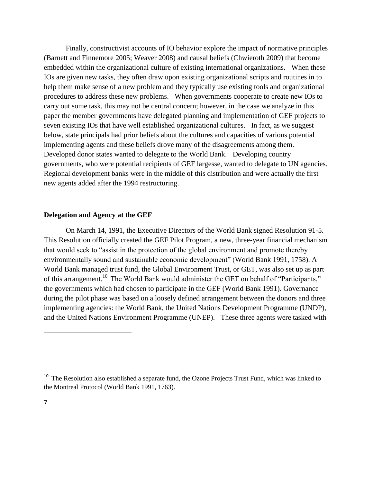Finally, constructivist accounts of IO behavior explore the impact of normative principles (Barnett and Finnemore 2005; Weaver 2008) and causal beliefs (Chwieroth 2009) that become embedded within the organizational culture of existing international organizations. When these IOs are given new tasks, they often draw upon existing organizational scripts and routines in to help them make sense of a new problem and they typically use existing tools and organizational procedures to address these new problems. When governments cooperate to create new IOs to carry out some task, this may not be central concern; however, in the case we analyze in this paper the member governments have delegated planning and implementation of GEF projects to seven existing IOs that have well established organizational cultures. In fact, as we suggest below, state principals had prior beliefs about the cultures and capacities of various potential implementing agents and these beliefs drove many of the disagreements among them. Developed donor states wanted to delegate to the World Bank. Developing country governments, who were potential recipients of GEF largesse, wanted to delegate to UN agencies. Regional development banks were in the middle of this distribution and were actually the first new agents added after the 1994 restructuring.

#### **Delegation and Agency at the GEF**

On March 14, 1991, the Executive Directors of the World Bank signed Resolution 91-5. This Resolution officially created the GEF Pilot Program, a new, three-year financial mechanism that would seek to "assist in the protection of the global environment and promote thereby environmentally sound and sustainable economic development" (World Bank 1991, 1758). A World Bank managed trust fund, the Global Environment Trust, or GET, was also set up as part of this arrangement.<sup>10</sup> The World Bank would administer the GET on behalf of "Participants," the governments which had chosen to participate in the GEF (World Bank 1991). Governance during the pilot phase was based on a loosely defined arrangement between the donors and three implementing agencies: the World Bank, the United Nations Development Programme (UNDP), and the United Nations Environment Programme (UNEP). These three agents were tasked with

<sup>&</sup>lt;sup>10</sup> The Resolution also established a separate fund, the Ozone Projects Trust Fund, which was linked to the Montreal Protocol (World Bank 1991, 1763).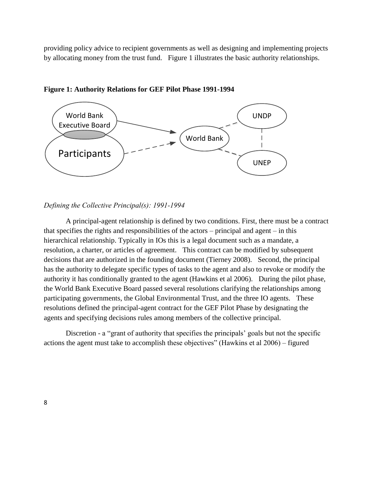providing policy advice to recipient governments as well as designing and implementing projects by allocating money from the trust fund. Figure 1 illustrates the basic authority relationships.



**Figure 1: Authority Relations for GEF Pilot Phase 1991-1994**

#### *Defining the Collective Principal(s): 1991-1994*

A principal-agent relationship is defined by two conditions. First, there must be a contract that specifies the rights and responsibilities of the actors – principal and agent – in this hierarchical relationship. Typically in IOs this is a legal document such as a mandate, a resolution, a charter, or articles of agreement. This contract can be modified by subsequent decisions that are authorized in the founding document (Tierney 2008). Second, the principal has the authority to delegate specific types of tasks to the agent and also to revoke or modify the authority it has conditionally granted to the agent (Hawkins et al 2006). During the pilot phase, the World Bank Executive Board passed several resolutions clarifying the relationships among participating governments, the Global Environmental Trust, and the three IO agents. These resolutions defined the principal-agent contract for the GEF Pilot Phase by designating the agents and specifying decisions rules among members of the collective principal.

Discretion - a "grant of authority that specifies the principals' goals but not the specific actions the agent must take to accomplish these objectives" (Hawkins et al  $2006$ ) – figured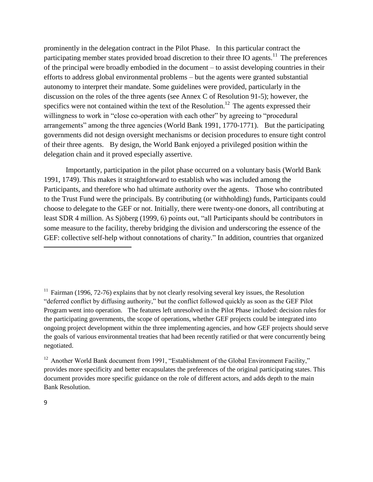prominently in the delegation contract in the Pilot Phase. In this particular contract the participating member states provided broad discretion to their three IO agents.<sup>11</sup> The preferences of the principal were broadly embodied in the document – to assist developing countries in their efforts to address global environmental problems – but the agents were granted substantial autonomy to interpret their mandate. Some guidelines were provided, particularly in the discussion on the roles of the three agents (see Annex C of Resolution 91-5); however, the specifics were not contained within the text of the Resolution.<sup>12</sup> The agents expressed their willingness to work in "close co-operation with each other" by agreeing to "procedural arrangements" among the three agencies (World Bank 1991, 1770-1771). But the participating governments did not design oversight mechanisms or decision procedures to ensure tight control of their three agents. By design, the World Bank enjoyed a privileged position within the delegation chain and it proved especially assertive.

Importantly, participation in the pilot phase occurred on a voluntary basis (World Bank 1991, 1749). This makes it straightforward to establish who was included among the Participants, and therefore who had ultimate authority over the agents. Those who contributed to the Trust Fund were the principals. By contributing (or withholding) funds, Participants could choose to delegate to the GEF or not. Initially, there were twenty-one donors, all contributing at least SDR 4 million. As Sjöberg (1999, 6) points out, "all Participants should be contributors in some measure to the facility, thereby bridging the division and underscoring the essence of the GEF: collective self-help without connotations of charity." In addition, countries that organized

 $11$  Fairman (1996, 72-76) explains that by not clearly resolving several key issues, the Resolution "deferred conflict by diffusing authority," but the conflict followed quickly as soon as the GEF Pilot Program went into operation. The features left unresolved in the Pilot Phase included: decision rules for the participating governments, the scope of operations, whether GEF projects could be integrated into ongoing project development within the three implementing agencies, and how GEF projects should serve the goals of various environmental treaties that had been recently ratified or that were concurrently being negotiated.

<sup>12</sup> Another World Bank document from 1991, "Establishment of the Global Environment Facility," provides more specificity and better encapsulates the preferences of the original participating states. This document provides more specific guidance on the role of different actors, and adds depth to the main Bank Resolution.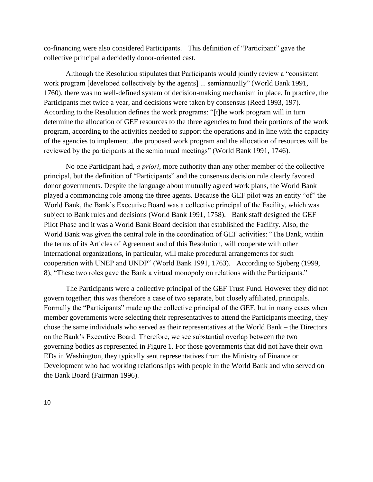co-financing were also considered Participants. This definition of "Participant" gave the collective principal a decidedly donor-oriented cast.

Although the Resolution stipulates that Participants would jointly review a "consistent" work program [developed collectively by the agents] ... semiannually" (World Bank 1991, 1760), there was no well-defined system of decision-making mechanism in place. In practice, the Participants met twice a year, and decisions were taken by consensus (Reed 1993, 197). According to the Resolution defines the work programs: "[t]he work program will in turn determine the allocation of GEF resources to the three agencies to fund their portions of the work program, according to the activities needed to support the operations and in line with the capacity of the agencies to implement...the proposed work program and the allocation of resources will be reviewed by the participants at the semiannual meetings" (World Bank 1991, 1746).

No one Participant had, *a priori*, more authority than any other member of the collective principal, but the definition of "Participants" and the consensus decision rule clearly favored donor governments. Despite the language about mutually agreed work plans, the World Bank played a commanding role among the three agents. Because the GEF pilot was an entity "of" the World Bank, the Bank's Executive Board was a collective principal of the Facility, which was subject to Bank rules and decisions (World Bank 1991, 1758). Bank staff designed the GEF Pilot Phase and it was a World Bank Board decision that established the Facility. Also, the World Bank was given the central role in the coordination of GEF activities: "The Bank, within the terms of its Articles of Agreement and of this Resolution, will cooperate with other international organizations, in particular, will make procedural arrangements for such cooperation with UNEP and UNDP" (World Bank 1991, 1763). According to Sjoberg (1999, 8), "These two roles gave the Bank a virtual monopoly on relations with the Participants."

The Participants were a collective principal of the GEF Trust Fund. However they did not govern together; this was therefore a case of two separate, but closely affiliated, principals. Formally the "Participants" made up the collective principal of the GEF, but in many cases when member governments were selecting their representatives to attend the Participants meeting, they chose the same individuals who served as their representatives at the World Bank – the Directors on the Bank's Executive Board. Therefore, we see substantial overlap between the two governing bodies as represented in Figure 1. For those governments that did not have their own EDs in Washington, they typically sent representatives from the Ministry of Finance or Development who had working relationships with people in the World Bank and who served on the Bank Board (Fairman 1996).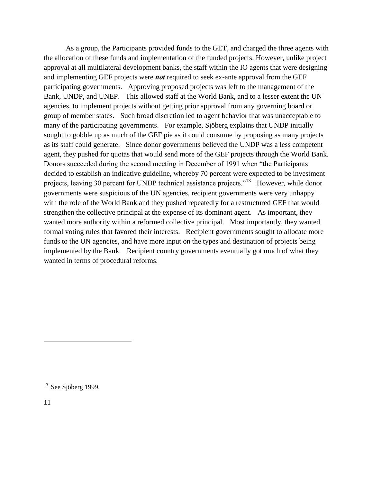As a group, the Participants provided funds to the GET, and charged the three agents with the allocation of these funds and implementation of the funded projects. However, unlike project approval at all multilateral development banks, the staff within the IO agents that were designing and implementing GEF projects were *not* required to seek ex-ante approval from the GEF participating governments. Approving proposed projects was left to the management of the Bank, UNDP, and UNEP. This allowed staff at the World Bank, and to a lesser extent the UN agencies, to implement projects without getting prior approval from any governing board or group of member states. Such broad discretion led to agent behavior that was unacceptable to many of the participating governments. For example, Sjöberg explains that UNDP initially sought to gobble up as much of the GEF pie as it could consume by proposing as many projects as its staff could generate. Since donor governments believed the UNDP was a less competent agent, they pushed for quotas that would send more of the GEF projects through the World Bank. Donors succeeded during the second meeting in December of 1991 when "the Participants" decided to establish an indicative guideline, whereby 70 percent were expected to be investment projects, leaving 30 percent for UNDP technical assistance projects."<sup>13</sup> However, while donor governments were suspicious of the UN agencies, recipient governments were very unhappy with the role of the World Bank and they pushed repeatedly for a restructured GEF that would strengthen the collective principal at the expense of its dominant agent. As important, they wanted more authority within a reformed collective principal. Most importantly, they wanted formal voting rules that favored their interests. Recipient governments sought to allocate more funds to the UN agencies, and have more input on the types and destination of projects being implemented by the Bank. Recipient country governments eventually got much of what they wanted in terms of procedural reforms.

 $13$  See Siöberg 1999.

11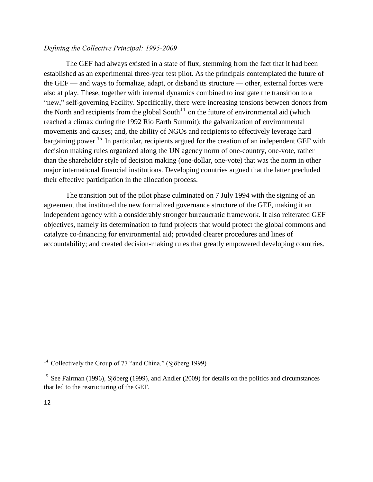# *Defining the Collective Principal: 1995-2009*

The GEF had always existed in a state of flux, stemming from the fact that it had been established as an experimental three-year test pilot. As the principals contemplated the future of the GEF — and ways to formalize, adapt, or disband its structure — other, external forces were also at play. These, together with internal dynamics combined to instigate the transition to a "new," self-governing Facility. Specifically, there were increasing tensions between donors from the North and recipients from the global South<sup> $14$ </sup> on the future of environmental aid (which reached a climax during the 1992 Rio Earth Summit); the galvanization of environmental movements and causes; and, the ability of NGOs and recipients to effectively leverage hard bargaining power.<sup>15</sup> In particular, recipients argued for the creation of an independent GEF with decision making rules organized along the UN agency norm of one-country, one-vote, rather than the shareholder style of decision making (one-dollar, one-vote) that was the norm in other major international financial institutions. Developing countries argued that the latter precluded their effective participation in the allocation process.

The transition out of the pilot phase culminated on 7 July 1994 with the signing of an agreement that instituted the new formalized governance structure of the GEF, making it an independent agency with a considerably stronger bureaucratic framework. It also reiterated GEF objectives, namely its determination to fund projects that would protect the global commons and catalyze co-financing for environmental aid; provided clearer procedures and lines of accountability; and created decision-making rules that greatly empowered developing countries.

<sup>&</sup>lt;sup>14</sup> Collectively the Group of 77 "and China." (Sjöberg 1999)

<sup>&</sup>lt;sup>15</sup> See Fairman (1996), Sjöberg (1999), and Andler (2009) for details on the politics and circumstances that led to the restructuring of the GEF.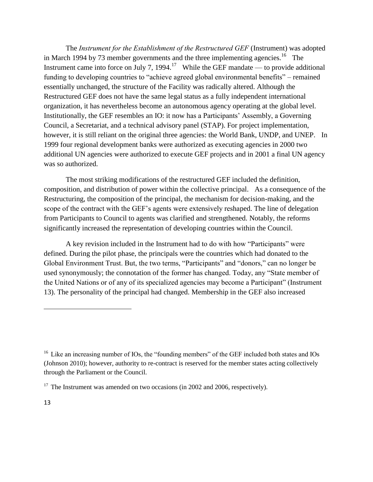The *Instrument for the Establishment of the Restructured GEF* (Instrument) was adopted in March 1994 by 73 member governments and the three implementing agencies.<sup>16</sup> The Instrument came into force on July 7, 1994.<sup>17</sup> While the GEF mandate — to provide additional funding to developing countries to "achieve agreed global environmental benefits" – remained essentially unchanged, the structure of the Facility was radically altered. Although the Restructured GEF does not have the same legal status as a fully independent international organization, it has nevertheless become an autonomous agency operating at the global level. Institutionally, the GEF resembles an IO: it now has a Participants' Assembly, a Governing Council, a Secretariat, and a technical advisory panel (STAP). For project implementation, however, it is still reliant on the original three agencies: the World Bank, UNDP, and UNEP. In 1999 four regional development banks were authorized as executing agencies in 2000 two additional UN agencies were authorized to execute GEF projects and in 2001 a final UN agency was so authorized.

The most striking modifications of the restructured GEF included the definition, composition, and distribution of power within the collective principal. As a consequence of the Restructuring, the composition of the principal, the mechanism for decision-making, and the scope of the contract with the GEF's agents were extensively reshaped. The line of delegation from Participants to Council to agents was clarified and strengthened. Notably, the reforms significantly increased the representation of developing countries within the Council.

A key revision included in the Instrument had to do with how "Participants" were defined. During the pilot phase, the principals were the countries which had donated to the Global Environment Trust. But, the two terms, "Participants" and "donors," can no longer be used synonymously; the connotation of the former has changed. Today, any "State member of the United Nations or of any of its specialized agencies may become a Participant" (Instrument 13). The personality of the principal had changed. Membership in the GEF also increased

 $16$  Like an increasing number of IOs, the "founding members" of the GEF included both states and IOs (Johnson 2010); however, authority to re-contract is reserved for the member states acting collectively through the Parliament or the Council.

 $17$  The Instrument was amended on two occasions (in 2002 and 2006, respectively).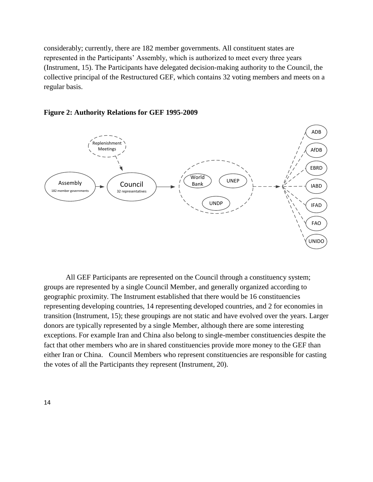considerably; currently, there are 182 member governments. All constituent states are represented in the Participants' Assembly, which is authorized to meet every three years (Instrument, 15). The Participants have delegated decision-making authority to the Council, the collective principal of the Restructured GEF, which contains 32 voting members and meets on a regular basis.





All GEF Participants are represented on the Council through a constituency system; groups are represented by a single Council Member, and generally organized according to geographic proximity. The Instrument established that there would be 16 constituencies representing developing countries, 14 representing developed countries, and 2 for economies in transition (Instrument, 15); these groupings are not static and have evolved over the years. Larger donors are typically represented by a single Member, although there are some interesting exceptions. For example Iran and China also belong to single-member constituencies despite the fact that other members who are in shared constituencies provide more money to the GEF than either Iran or China. Council Members who represent constituencies are responsible for casting the votes of all the Participants they represent (Instrument, 20).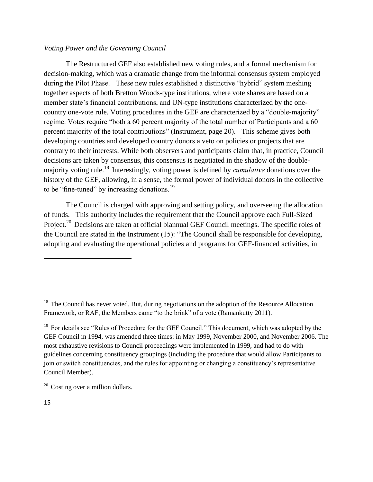## *Voting Power and the Governing Council*

The Restructured GEF also established new voting rules, and a formal mechanism for decision-making, which was a dramatic change from the informal consensus system employed during the Pilot Phase. These new rules established a distinctive "hybrid" system meshing together aspects of both Bretton Woods-type institutions, where vote shares are based on a member state's financial contributions, and UN-type institutions characterized by the onecountry one-vote rule. Voting procedures in the GEF are characterized by a "double-majority" regime. Votes require "both a 60 percent majority of the total number of Participants and a 60 percent majority of the total contributions" (Instrument, page 20). This scheme gives both developing countries and developed country donors a veto on policies or projects that are contrary to their interests. While both observers and participants claim that, in practice, Council decisions are taken by consensus, this consensus is negotiated in the shadow of the doublemajority voting rule.<sup>18</sup> Interestingly, voting power is defined by *cumulative* donations over the history of the GEF, allowing, in a sense, the formal power of individual donors in the collective to be "fine-tuned" by increasing donations.<sup>19</sup>

The Council is charged with approving and setting policy, and overseeing the allocation of funds. This authority includes the requirement that the Council approve each Full-Sized Project.<sup>20</sup> Decisions are taken at official biannual GEF Council meetings. The specific roles of the Council are stated in the Instrument  $(15)$ : "The Council shall be responsible for developing, adopting and evaluating the operational policies and programs for GEF-financed activities, in

 $20$  Costing over a million dollars.

 $18$  The Council has never voted. But, during negotiations on the adoption of the Resource Allocation Framework, or RAF, the Members came "to the brink" of a vote (Ramankutty 2011).

<sup>&</sup>lt;sup>19</sup> For details see "Rules of Procedure for the GEF Council." This document, which was adopted by the GEF Council in 1994, was amended three times: in May 1999, November 2000, and November 2006. The most exhaustive revisions to Council proceedings were implemented in 1999, and had to do with guidelines concerning constituency groupings (including the procedure that would allow Participants to join or switch constituencies, and the rules for appointing or changing a constituency's representative Council Member).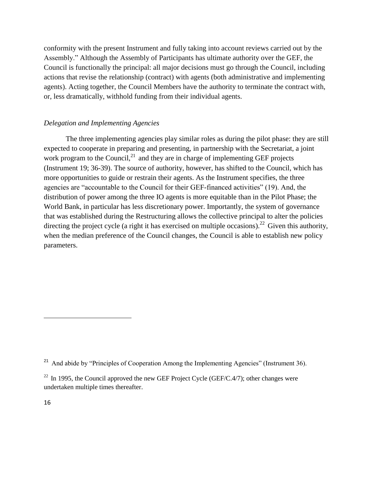conformity with the present Instrument and fully taking into account reviews carried out by the Assembly." Although the Assembly of Participants has ultimate authority over the GEF, the Council is functionally the principal: all major decisions must go through the Council, including actions that revise the relationship (contract) with agents (both administrative and implementing agents). Acting together, the Council Members have the authority to terminate the contract with, or, less dramatically, withhold funding from their individual agents.

#### *Delegation and Implementing Agencies*

The three implementing agencies play similar roles as during the pilot phase: they are still expected to cooperate in preparing and presenting, in partnership with the Secretariat, a joint work program to the Council, $^{21}$  and they are in charge of implementing GEF projects (Instrument 19; 36-39). The source of authority, however, has shifted to the Council, which has more opportunities to guide or restrain their agents. As the Instrument specifies, the three agencies are "accountable to the Council for their GEF-financed activities" (19). And, the distribution of power among the three IO agents is more equitable than in the Pilot Phase; the World Bank, in particular has less discretionary power. Importantly, the system of governance that was established during the Restructuring allows the collective principal to alter the policies directing the project cycle (a right it has exercised on multiple occasions).<sup>22</sup> Given this authority, when the median preference of the Council changes, the Council is able to establish new policy parameters.

<sup>&</sup>lt;sup>21</sup> And abide by "Principles of Cooperation Among the Implementing Agencies" (Instrument 36).

 $^{22}$  In 1995, the Council approved the new GEF Project Cycle (GEF/C.4/7); other changes were undertaken multiple times thereafter.

<sup>16</sup>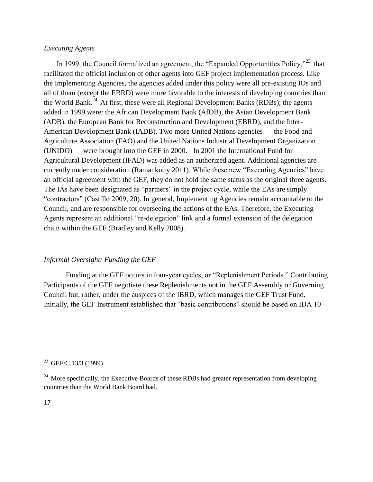# *Executing Agents*

In 1999, the Council formalized an agreement, the "Expanded Opportunities Policy,"<sup>23</sup> that facilitated the official inclusion of other agents into GEF project implementation process. Like the Implementing Agencies, the agencies added under this policy were all pre-existing IOs and all of them (except the EBRD) were more favorable to the interests of developing countries than the World Bank.<sup>24</sup> At first, these were all Regional Development Banks (RDBs); the agents added in 1999 were: the African Development Bank (AfDB), the Asian Development Bank (ADB), the European Bank for Reconstruction and Development (EBRD), and the Inter-American Development Bank (IADB). Two more United Nations agencies — the Food and Agriculture Association (FAO) and the United Nations Industrial Development Organization (UNIDO) — were brought into the GEF in 2000. In 2001 the International Fund for Agricultural Development (IFAD) was added as an authorized agent. Additional agencies are currently under consideration (Ramankutty 2011). While these new "Executing Agencies" have an official agreement with the GEF, they do not hold the same status as the original three agents. The IAs have been designated as "partners" in the project cycle, while the EAs are simply "contractors" (Castillo 2009, 20). In general, Implementing Agencies remain accountable to the Council, and are responsible for overseeing the actions of the EAs. Therefore, the Executing Agents represent an additional "re-delegation" link and a formal extension of the delegation chain within the GEF (Bradley and Kelly 2008).

# *Informal Oversight: Funding the GEF*

Funding at the GEF occurs in four-year cycles, or "Replenishment Periods." Contributing Participants of the GEF negotiate these Replenishments not in the GEF Assembly or Governing Council but, rather, under the auspices of the IBRD, which manages the GEF Trust Fund. Initially, the GEF Instrument established that "basic contributions" should be based on IDA 10

<sup>23</sup> GEF/C.13/3 (1999)

<sup>&</sup>lt;sup>24</sup> More specifically, the Executive Boards of these RDBs had greater representation from developing countries than the World Bank Board had.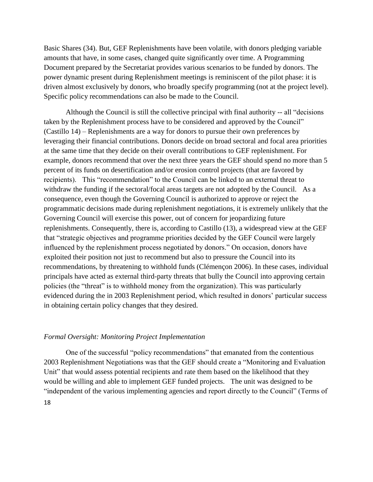Basic Shares (34). But, GEF Replenishments have been volatile, with donors pledging variable amounts that have, in some cases, changed quite significantly over time. A Programming Document prepared by the Secretariat provides various scenarios to be funded by donors. The power dynamic present during Replenishment meetings is reminiscent of the pilot phase: it is driven almost exclusively by donors, who broadly specify programming (not at the project level). Specific policy recommendations can also be made to the Council.

Although the Council is still the collective principal with final authority  $-$  all "decisions" taken by the Replenishment process have to be considered and approved by the Council" (Castillo 14) – Replenishments are a way for donors to pursue their own preferences by leveraging their financial contributions. Donors decide on broad sectoral and focal area priorities at the same time that they decide on their overall contributions to GEF replenishment. For example, donors recommend that over the next three years the GEF should spend no more than 5 percent of its funds on desertification and/or erosion control projects (that are favored by recipients). This "recommendation" to the Council can be linked to an external threat to withdraw the funding if the sectoral/focal areas targets are not adopted by the Council. As a consequence, even though the Governing Council is authorized to approve or reject the programmatic decisions made during replenishment negotiations, it is extremely unlikely that the Governing Council will exercise this power, out of concern for jeopardizing future replenishments. Consequently, there is, according to Castillo (13), a widespread view at the GEF that "strategic objectives and programme priorities decided by the GEF Council were largely influenced by the replenishment process negotiated by donors." On occasion, donors have exploited their position not just to recommend but also to pressure the Council into its recommendations, by threatening to withhold funds (Clémençon 2006). In these cases, individual principals have acted as external third-party threats that bully the Council into approving certain policies (the "threat" is to withhold money from the organization). This was particularly evidenced during the in 2003 Replenishment period, which resulted in donors' particular success in obtaining certain policy changes that they desired.

#### *Formal Oversight: Monitoring Project Implementation*

18 One of the successful "policy recommendations" that emanated from the contentious 2003 Replenishment Negotiations was that the GEF should create a "Monitoring and Evaluation" Unit" that would assess potential recipients and rate them based on the likelihood that they would be willing and able to implement GEF funded projects. The unit was designed to be "independent of the various implementing agencies and report directly to the Council" (Terms of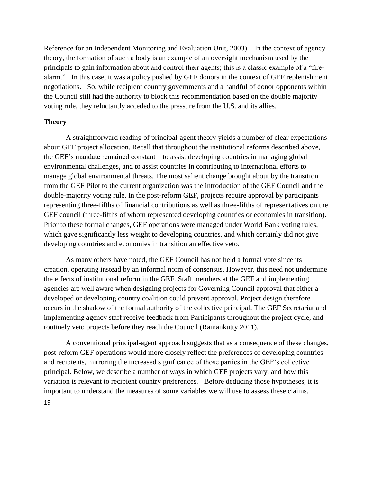Reference for an Independent Monitoring and Evaluation Unit, 2003). In the context of agency theory, the formation of such a body is an example of an oversight mechanism used by the principals to gain information about and control their agents; this is a classic example of a "firealarm." In this case, it was a policy pushed by GEF donors in the context of GEF replenishment negotiations. So, while recipient country governments and a handful of donor opponents within the Council still had the authority to block this recommendation based on the double majority voting rule, they reluctantly acceded to the pressure from the U.S. and its allies.

## **Theory**

A straightforward reading of principal-agent theory yields a number of clear expectations about GEF project allocation. Recall that throughout the institutional reforms described above, the GEF's mandate remained constant – to assist developing countries in managing global environmental challenges, and to assist countries in contributing to international efforts to manage global environmental threats. The most salient change brought about by the transition from the GEF Pilot to the current organization was the introduction of the GEF Council and the double-majority voting rule. In the post-reform GEF, projects require approval by participants representing three-fifths of financial contributions as well as three-fifths of representatives on the GEF council (three-fifths of whom represented developing countries or economies in transition). Prior to these formal changes, GEF operations were managed under World Bank voting rules, which gave significantly less weight to developing countries, and which certainly did not give developing countries and economies in transition an effective veto.

As many others have noted, the GEF Council has not held a formal vote since its creation, operating instead by an informal norm of consensus. However, this need not undermine the effects of institutional reform in the GEF. Staff members at the GEF and implementing agencies are well aware when designing projects for Governing Council approval that either a developed or developing country coalition could prevent approval. Project design therefore occurs in the shadow of the formal authority of the collective principal. The GEF Secretariat and implementing agency staff receive feedback from Participants throughout the project cycle, and routinely veto projects before they reach the Council (Ramankutty 2011).

19 A conventional principal-agent approach suggests that as a consequence of these changes, post-reform GEF operations would more closely reflect the preferences of developing countries and recipients, mirroring the increased significance of those parties in the GEF's collective principal. Below, we describe a number of ways in which GEF projects vary, and how this variation is relevant to recipient country preferences. Before deducing those hypotheses, it is important to understand the measures of some variables we will use to assess these claims.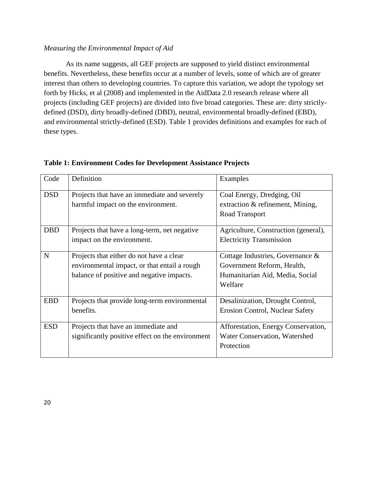# *Measuring the Environmental Impact of Aid*

As its name suggests, all GEF projects are supposed to yield distinct environmental benefits. Nevertheless, these benefits occur at a number of levels, some of which are of greater interest than others to developing countries. To capture this variation, we adopt the typology set forth by Hicks, et al (2008) and implemented in the AidData 2.0 research release where all projects (including GEF projects) are divided into five broad categories. These are: dirty strictlydefined (DSD), dirty broadly-defined (DBD), neutral, environmental broadly-defined (EBD), and environmental strictly-defined (ESD). Table 1 provides definitions and examples for each of these types.

| Code       | Definition                                                                         | Examples                                                       |
|------------|------------------------------------------------------------------------------------|----------------------------------------------------------------|
| <b>DSD</b> | Projects that have an immediate and severely<br>harmful impact on the environment. | Coal Energy, Dredging, Oil<br>extraction & refinement, Mining, |
|            |                                                                                    | Road Transport                                                 |
| <b>DBD</b> | Projects that have a long-term, net negative                                       | Agriculture, Construction (general),                           |
|            | impact on the environment.                                                         | <b>Electricity Transmission</b>                                |
| N          | Projects that either do not have a clear                                           | Cottage Industries, Governance &                               |
|            | environmental impact, or that entail a rough                                       | Government Reform, Health,                                     |
|            | balance of positive and negative impacts.                                          | Humanitarian Aid, Media, Social                                |
|            |                                                                                    | Welfare                                                        |
| <b>EBD</b> | Projects that provide long-term environmental                                      | Desalinization, Drought Control,                               |
|            | benefits.                                                                          | <b>Erosion Control, Nuclear Safety</b>                         |
| <b>ESD</b> | Projects that have an immediate and                                                | Afforestation, Energy Conservation,                            |
|            | significantly positive effect on the environment                                   | Water Conservation, Watershed                                  |
|            |                                                                                    | Protection                                                     |
|            |                                                                                    |                                                                |

# **Table 1: Environment Codes for Development Assistance Projects**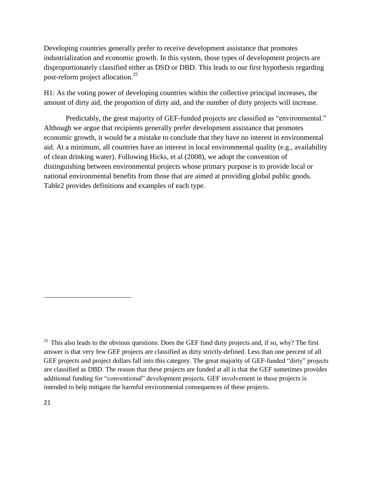Developing countries generally prefer to receive development assistance that promotes industrialization and economic growth. In this system, those types of development projects are disproportionately classified either as DSD or DBD. This leads to our first hypothesis regarding post-reform project allocation.<sup>25</sup>

H1: As the voting power of developing countries within the collective principal increases, the amount of dirty aid, the proportion of dirty aid, and the number of dirty projects will increase.

Predictably, the great majority of GEF-funded projects are classified as "environmental." Although we argue that recipients generally prefer development assistance that promotes economic growth, it would be a mistake to conclude that they have no interest in environmental aid. At a minimum, all countries have an interest in local environmental quality (e.g., availability of clean drinking water). Following Hicks, et al (2008), we adopt the convention of distinguishing between environmental projects whose primary purpose is to provide local or national environmental benefits from those that are aimed at providing global public goods. Table2 provides definitions and examples of each type.

 $^{25}$  This also leads to the obvious questions: Does the GEF fund dirty projects and, if so, why? The first answer is that very few GEF projects are classified as dirty strictly-defined. Less than one percent of all GEF projects and project dollars fall into this category. The great majority of GEF-funded "dirty" projects are classified as DBD. The reason that these projects are funded at all is that the GEF sometimes provides additional funding for "conventional" development projects. GEF involvement in these projects is intended to help mitigate the harmful environmental consequences of these projects.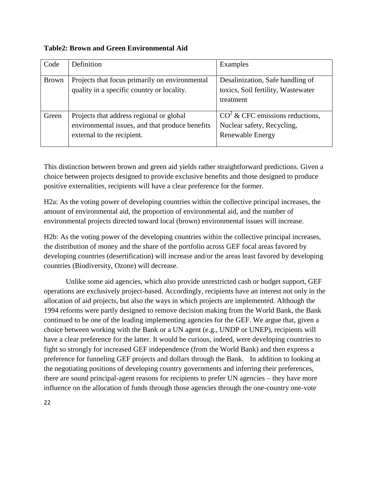**Table2: Brown and Green Environmental Aid**

| Code         | Definition                                                                                                                | Examples                                                                                   |
|--------------|---------------------------------------------------------------------------------------------------------------------------|--------------------------------------------------------------------------------------------|
| <b>Brown</b> | Projects that focus primarily on environmental<br>quality in a specific country or locality.                              | Desalinization, Safe handling of<br>toxics, Soil fertility, Wastewater<br>treatment        |
| Green        | Projects that address regional or global<br>environmental issues, and that produce benefits<br>external to the recipient. | $CO2$ & CFC emissions reductions,<br>Nuclear safety, Recycling,<br><b>Renewable Energy</b> |

This distinction between brown and green aid yields rather straightforward predictions. Given a choice between projects designed to provide exclusive benefits and those designed to produce positive externalities, recipients will have a clear preference for the former.

H2a: As the voting power of developing countries within the collective principal increases, the amount of environmental aid, the proportion of environmental aid, and the number of environmental projects directed toward local (brown) environmental issues will increase.

H2b: As the voting power of the developing countries within the collective principal increases, the distribution of money and the share of the portfolio across GEF focal areas favored by developing countries (desertification) will increase and/or the areas least favored by developing countries (Biodiversity, Ozone) will decrease.

Unlike some aid agencies, which also provide unrestricted cash or budget support, GEF operations are exclusively project-based. Accordingly, recipients have an interest not only in the allocation of aid projects, but also the ways in which projects are implemented. Although the 1994 reforms were partly designed to remove decision making from the World Bank, the Bank continued to be one of the leading implementing agencies for the GEF. We argue that, given a choice between working with the Bank or a UN agent (e.g., UNDP or UNEP), recipients will have a clear preference for the latter. It would be curious, indeed, were developing countries to fight so strongly for increased GEF independence (from the World Bank) and then express a preference for funneling GEF projects and dollars through the Bank. In addition to looking at the negotiating positions of developing country governments and inferring their preferences, there are sound principal-agent reasons for recipients to prefer UN agencies – they have more influence on the allocation of funds through those agencies through the one-country one-vote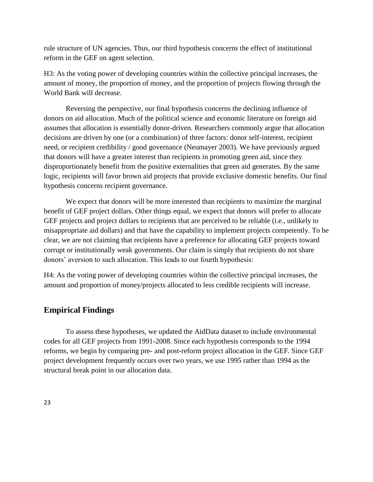rule structure of UN agencies. Thus, our third hypothesis concerns the effect of institutional reform in the GEF on agent selection.

H3: As the voting power of developing countries within the collective principal increases, the amount of money, the proportion of money, and the proportion of projects flowing through the World Bank will decrease.

Reversing the perspective, our final hypothesis concerns the declining influence of donors on aid allocation. Much of the political science and economic literature on foreign aid assumes that allocation is essentially donor-driven. Researchers commonly argue that allocation decisions are driven by one (or a combination) of three factors: donor self-interest, recipient need, or recipient credibility / good governance (Neumayer 2003). We have previously argued that donors will have a greater interest than recipients in promoting green aid, since they disproportionately benefit from the positive externalities that green aid generates. By the same logic, recipients will favor brown aid projects that provide exclusive domestic benefits. Our final hypothesis concerns recipient governance.

We expect that donors will be more interested than recipients to maximize the marginal benefit of GEF project dollars. Other things equal, we expect that donors will prefer to allocate GEF projects and project dollars to recipients that are perceived to be reliable (i.e., unlikely to misappropriate aid dollars) and that have the capability to implement projects competently. To be clear, we are not claiming that recipients have a preference for allocating GEF projects toward corrupt or institutionally weak governments. Our claim is simply that recipients do not share donors' aversion to such allocation. This leads to our fourth hypothesis:

H4: As the voting power of developing countries within the collective principal increases, the amount and proportion of money/projects allocated to less credible recipients will increase.

# **Empirical Findings**

To assess these hypotheses, we updated the AidData dataset to include environmental codes for all GEF projects from 1991-2008. Since each hypothesis corresponds to the 1994 reforms, we begin by comparing pre- and post-reform project allocation in the GEF. Since GEF project development frequently occurs over two years, we use 1995 rather than 1994 as the structural break point in our allocation data.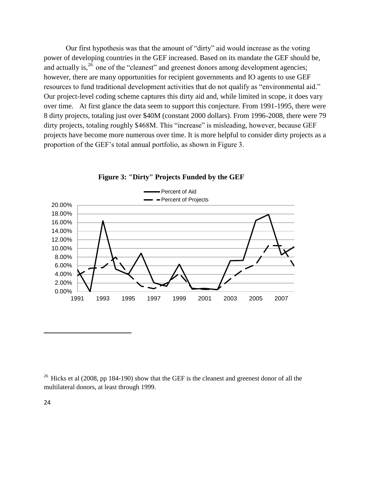Our first hypothesis was that the amount of "dirty" aid would increase as the voting power of developing countries in the GEF increased. Based on its mandate the GEF should be, and actually is, $26$  one of the "cleanest" and greenest donors among development agencies; however, there are many opportunities for recipient governments and IO agents to use GEF resources to fund traditional development activities that do not qualify as "environmental aid." Our project-level coding scheme captures this dirty aid and, while limited in scope, it does vary over time. At first glance the data seem to support this conjecture. From 1991-1995, there were 8 dirty projects, totaling just over \$40M (constant 2000 dollars). From 1996-2008, there were 79 dirty projects, totaling roughly \$468M. This "increase" is misleading, however, because GEF projects have become more numerous over time. It is more helpful to consider dirty projects as a proportion of the GEF's total annual portfolio, as shown in Figure 3.



**Figure 3: "Dirty" Projects Funded by the GEF**

<sup>26</sup> Hicks et al (2008, pp 184-190) show that the GEF is the cleanest and greenest donor of all the multilateral donors, at least through 1999.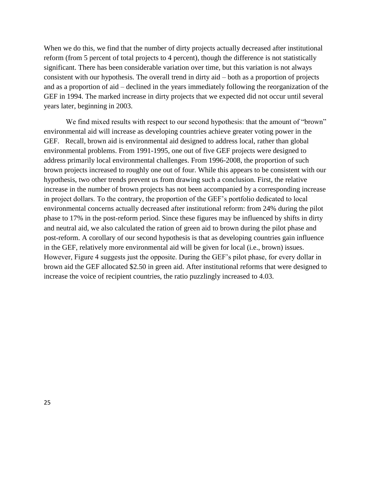When we do this, we find that the number of dirty projects actually decreased after institutional reform (from 5 percent of total projects to 4 percent), though the difference is not statistically significant. There has been considerable variation over time, but this variation is not always consistent with our hypothesis. The overall trend in dirty aid – both as a proportion of projects and as a proportion of aid – declined in the years immediately following the reorganization of the GEF in 1994. The marked increase in dirty projects that we expected did not occur until several years later, beginning in 2003.

We find mixed results with respect to our second hypothesis: that the amount of "brown" environmental aid will increase as developing countries achieve greater voting power in the GEF. Recall, brown aid is environmental aid designed to address local, rather than global environmental problems. From 1991-1995, one out of five GEF projects were designed to address primarily local environmental challenges. From 1996-2008, the proportion of such brown projects increased to roughly one out of four. While this appears to be consistent with our hypothesis, two other trends prevent us from drawing such a conclusion. First, the relative increase in the number of brown projects has not been accompanied by a corresponding increase in project dollars. To the contrary, the proportion of the GEF's portfolio dedicated to local environmental concerns actually decreased after institutional reform: from 24% during the pilot phase to 17% in the post-reform period. Since these figures may be influenced by shifts in dirty and neutral aid, we also calculated the ration of green aid to brown during the pilot phase and post-reform. A corollary of our second hypothesis is that as developing countries gain influence in the GEF, relatively more environmental aid will be given for local (i.e., brown) issues. However, Figure 4 suggests just the opposite. During the GEF's pilot phase, for every dollar in brown aid the GEF allocated \$2.50 in green aid. After institutional reforms that were designed to increase the voice of recipient countries, the ratio puzzlingly increased to 4.03.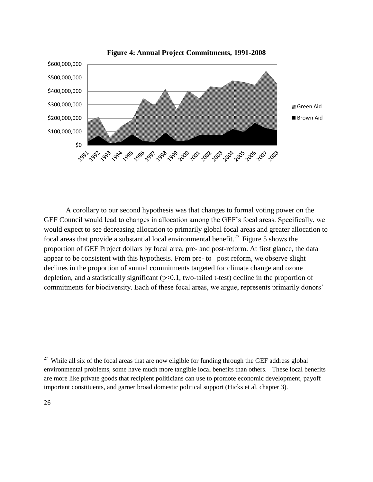

**Figure 4: Annual Project Commitments, 1991-2008**

A corollary to our second hypothesis was that changes to formal voting power on the GEF Council would lead to changes in allocation among the GEF's focal areas. Specifically, we would expect to see decreasing allocation to primarily global focal areas and greater allocation to focal areas that provide a substantial local environmental benefit.<sup>27</sup> Figure 5 shows the proportion of GEF Project dollars by focal area, pre- and post-reform. At first glance, the data appear to be consistent with this hypothesis. From pre- to –post reform, we observe slight declines in the proportion of annual commitments targeted for climate change and ozone depletion, and a statistically significant (p<0.1, two-tailed t-test) decline in the proportion of commitments for biodiversity. Each of these focal areas, we argue, represents primarily donors'

<sup>&</sup>lt;sup>27</sup> While all six of the focal areas that are now eligible for funding through the GEF address global environmental problems, some have much more tangible local benefits than others. These local benefits are more like private goods that recipient politicians can use to promote economic development, payoff important constituents, and garner broad domestic political support (Hicks et al, chapter 3).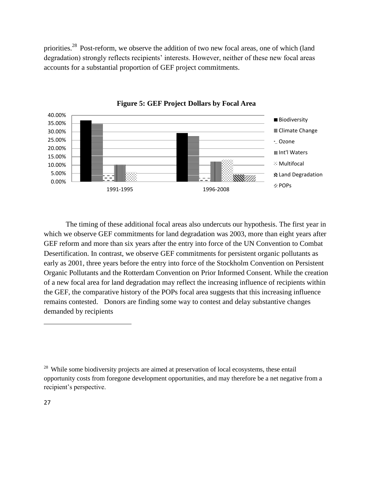priorities.<sup>28</sup> Post-reform, we observe the addition of two new focal areas, one of which (land degradation) strongly reflects recipients' interests. However, neither of these new focal areas accounts for a substantial proportion of GEF project commitments.



**Figure 5: GEF Project Dollars by Focal Area**

The timing of these additional focal areas also undercuts our hypothesis. The first year in which we observe GEF commitments for land degradation was 2003, more than eight years after GEF reform and more than six years after the entry into force of the UN Convention to Combat Desertification. In contrast, we observe GEF commitments for persistent organic pollutants as early as 2001, three years before the entry into force of the Stockholm Convention on Persistent Organic Pollutants and the Rotterdam Convention on Prior Informed Consent. While the creation of a new focal area for land degradation may reflect the increasing influence of recipients within the GEF, the comparative history of the POPs focal area suggests that this increasing influence remains contested. Donors are finding some way to contest and delay substantive changes demanded by recipients

<sup>&</sup>lt;sup>28</sup> While some biodiversity projects are aimed at preservation of local ecosystems, these entail opportunity costs from foregone development opportunities, and may therefore be a net negative from a recipient's perspective.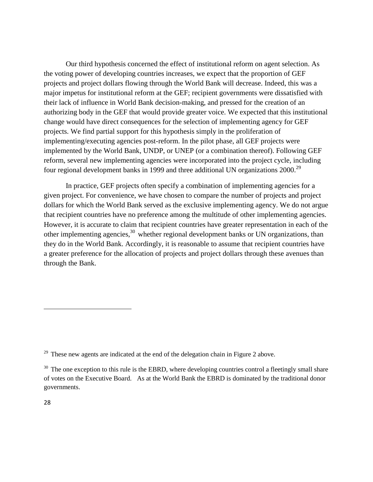Our third hypothesis concerned the effect of institutional reform on agent selection. As the voting power of developing countries increases, we expect that the proportion of GEF projects and project dollars flowing through the World Bank will decrease. Indeed, this was a major impetus for institutional reform at the GEF; recipient governments were dissatisfied with their lack of influence in World Bank decision-making, and pressed for the creation of an authorizing body in the GEF that would provide greater voice. We expected that this institutional change would have direct consequences for the selection of implementing agency for GEF projects. We find partial support for this hypothesis simply in the proliferation of implementing/executing agencies post-reform. In the pilot phase, all GEF projects were implemented by the World Bank, UNDP, or UNEP (or a combination thereof). Following GEF reform, several new implementing agencies were incorporated into the project cycle, including four regional development banks in 1999 and three additional UN organizations 2000.<sup>29</sup>

In practice, GEF projects often specify a combination of implementing agencies for a given project. For convenience, we have chosen to compare the number of projects and project dollars for which the World Bank served as the exclusive implementing agency. We do not argue that recipient countries have no preference among the multitude of other implementing agencies. However, it is accurate to claim that recipient countries have greater representation in each of the other implementing agencies, $30$  whether regional development banks or UN organizations, than they do in the World Bank. Accordingly, it is reasonable to assume that recipient countries have a greater preference for the allocation of projects and project dollars through these avenues than through the Bank.

 $29$  These new agents are indicated at the end of the delegation chain in Figure 2 above.

 $30$  The one exception to this rule is the EBRD, where developing countries control a fleetingly small share of votes on the Executive Board. As at the World Bank the EBRD is dominated by the traditional donor governments.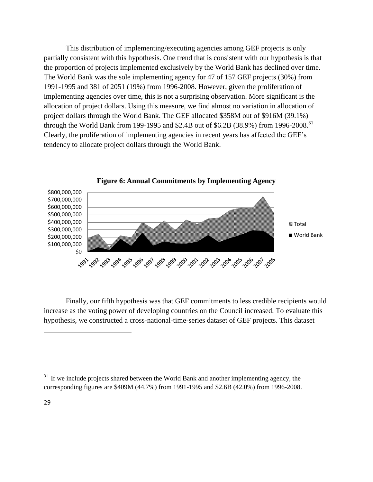This distribution of implementing/executing agencies among GEF projects is only partially consistent with this hypothesis. One trend that is consistent with our hypothesis is that the proportion of projects implemented exclusively by the World Bank has declined over time. The World Bank was the sole implementing agency for 47 of 157 GEF projects (30%) from 1991-1995 and 381 of 2051 (19%) from 1996-2008. However, given the proliferation of implementing agencies over time, this is not a surprising observation. More significant is the allocation of project dollars. Using this measure, we find almost no variation in allocation of project dollars through the World Bank. The GEF allocated \$358M out of \$916M (39.1%) through the World Bank from 199-1995 and \$2.4B out of \$6.2B (38.9%) from 1996-2008.<sup>31</sup> Clearly, the proliferation of implementing agencies in recent years has affected the GEF's tendency to allocate project dollars through the World Bank.



**Figure 6: Annual Commitments by Implementing Agency**

Finally, our fifth hypothesis was that GEF commitments to less credible recipients would increase as the voting power of developing countries on the Council increased. To evaluate this hypothesis, we constructed a cross-national-time-series dataset of GEF projects. This dataset

 $31$  If we include projects shared between the World Bank and another implementing agency, the corresponding figures are \$409M (44.7%) from 1991-1995 and \$2.6B (42.0%) from 1996-2008.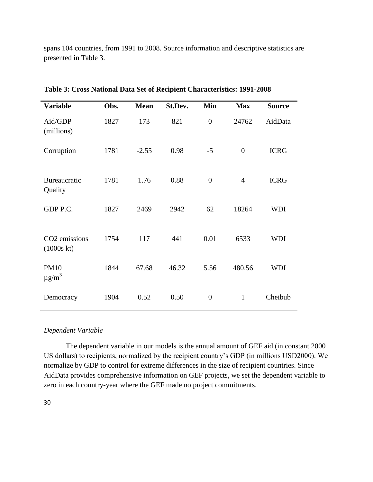spans 104 countries, from 1991 to 2008. Source information and descriptive statistics are presented in Table 3.

| <b>Variable</b>                         | Obs. | <b>Mean</b> | St.Dev. | Min              | <b>Max</b>     | <b>Source</b> |
|-----------------------------------------|------|-------------|---------|------------------|----------------|---------------|
| Aid/GDP<br>(millions)                   | 1827 | 173         | 821     | $\overline{0}$   | 24762          | AidData       |
| Corruption                              | 1781 | $-2.55$     | 0.98    | $-5$             | $\overline{0}$ | <b>ICRG</b>   |
| Bureaucratic<br>Quality                 | 1781 | 1.76        | 0.88    | $\boldsymbol{0}$ | $\overline{4}$ | <b>ICRG</b>   |
| GDP P.C.                                | 1827 | 2469        | 2942    | 62               | 18264          | <b>WDI</b>    |
| CO <sub>2</sub> emissions<br>(1000s kt) | 1754 | 117         | 441     | 0.01             | 6533           | <b>WDI</b>    |
| <b>PM10</b><br>$\mu$ g/m <sup>3</sup>   | 1844 | 67.68       | 46.32   | 5.56             | 480.56         | <b>WDI</b>    |
| Democracy                               | 1904 | 0.52        | 0.50    | $\boldsymbol{0}$ | $\mathbf{1}$   | Cheibub       |

**Table 3: Cross National Data Set of Recipient Characteristics: 1991-2008**

#### *Dependent Variable*

The dependent variable in our models is the annual amount of GEF aid (in constant 2000 US dollars) to recipients, normalized by the recipient country's GDP (in millions USD2000). We normalize by GDP to control for extreme differences in the size of recipient countries. Since AidData provides comprehensive information on GEF projects, we set the dependent variable to zero in each country-year where the GEF made no project commitments.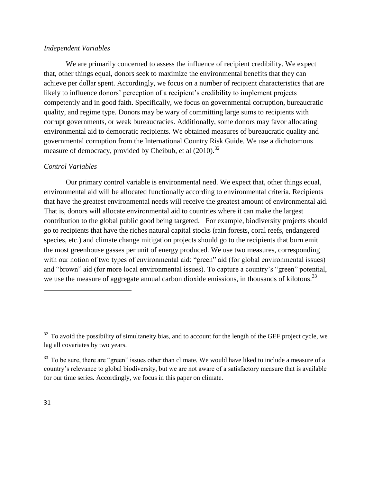# *Independent Variables*

We are primarily concerned to assess the influence of recipient credibility. We expect that, other things equal, donors seek to maximize the environmental benefits that they can achieve per dollar spent. Accordingly, we focus on a number of recipient characteristics that are likely to influence donors' perception of a recipient's credibility to implement projects competently and in good faith. Specifically, we focus on governmental corruption, bureaucratic quality, and regime type. Donors may be wary of committing large sums to recipients with corrupt governments, or weak bureaucracies. Additionally, some donors may favor allocating environmental aid to democratic recipients. We obtained measures of bureaucratic quality and governmental corruption from the International Country Risk Guide. We use a dichotomous measure of democracy, provided by Cheibub, et al  $(2010)^{32}$ 

## *Control Variables*

Our primary control variable is environmental need. We expect that, other things equal, environmental aid will be allocated functionally according to environmental criteria. Recipients that have the greatest environmental needs will receive the greatest amount of environmental aid. That is, donors will allocate environmental aid to countries where it can make the largest contribution to the global public good being targeted. For example, biodiversity projects should go to recipients that have the riches natural capital stocks (rain forests, coral reefs, endangered species, etc.) and climate change mitigation projects should go to the recipients that burn emit the most greenhouse gasses per unit of energy produced. We use two measures, corresponding with our notion of two types of environmental aid: "green" aid (for global environmental issues) and "brown" aid (for more local environmental issues). To capture a country's "green" potential, we use the measure of aggregate annual carbon dioxide emissions, in thousands of kilotons.<sup>33</sup>

 $32$  To avoid the possibility of simultaneity bias, and to account for the length of the GEF project cycle, we lag all covariates by two years.

 $33$  To be sure, there are "green" issues other than climate. We would have liked to include a measure of a country's relevance to global biodiversity, but we are not aware of a satisfactory measure that is available for our time series. Accordingly, we focus in this paper on climate.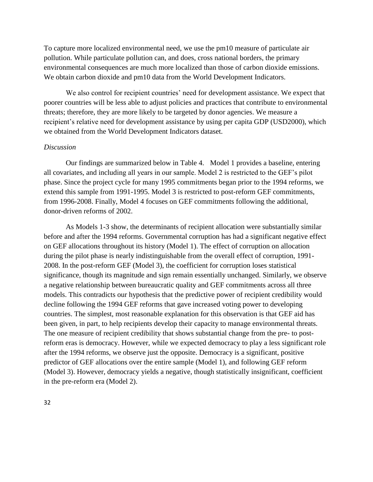To capture more localized environmental need, we use the pm10 measure of particulate air pollution. While particulate pollution can, and does, cross national borders, the primary environmental consequences are much more localized than those of carbon dioxide emissions. We obtain carbon dioxide and pm10 data from the World Development Indicators.

We also control for recipient countries' need for development assistance. We expect that poorer countries will be less able to adjust policies and practices that contribute to environmental threats; therefore, they are more likely to be targeted by donor agencies. We measure a recipient's relative need for development assistance by using per capita GDP (USD2000), which we obtained from the World Development Indicators dataset.

### *Discussion*

Our findings are summarized below in Table 4. Model 1 provides a baseline, entering all covariates, and including all years in our sample. Model 2 is restricted to the GEF's pilot phase. Since the project cycle for many 1995 commitments began prior to the 1994 reforms, we extend this sample from 1991-1995. Model 3 is restricted to post-reform GEF commitments, from 1996-2008. Finally, Model 4 focuses on GEF commitments following the additional, donor-driven reforms of 2002.

As Models 1-3 show, the determinants of recipient allocation were substantially similar before and after the 1994 reforms. Governmental corruption has had a significant negative effect on GEF allocations throughout its history (Model 1). The effect of corruption on allocation during the pilot phase is nearly indistinguishable from the overall effect of corruption, 1991- 2008. In the post-reform GEF (Model 3), the coefficient for corruption loses statistical significance, though its magnitude and sign remain essentially unchanged. Similarly, we observe a negative relationship between bureaucratic quality and GEF commitments across all three models. This contradicts our hypothesis that the predictive power of recipient credibility would decline following the 1994 GEF reforms that gave increased voting power to developing countries. The simplest, most reasonable explanation for this observation is that GEF aid has been given, in part, to help recipients develop their capacity to manage environmental threats. The one measure of recipient credibility that shows substantial change from the pre- to postreform eras is democracy. However, while we expected democracy to play a less significant role after the 1994 reforms, we observe just the opposite. Democracy is a significant, positive predictor of GEF allocations over the entire sample (Model 1), and following GEF reform (Model 3). However, democracy yields a negative, though statistically insignificant, coefficient in the pre-reform era (Model 2).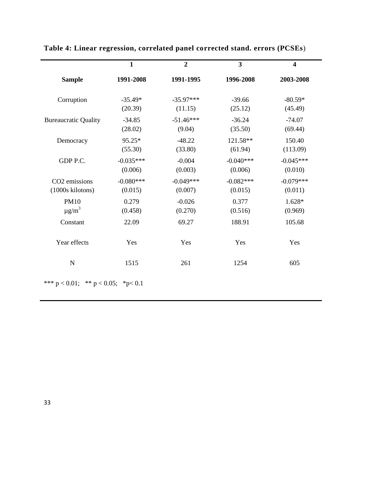|                             | $\mathbf{1}$ | $\overline{2}$ | $\overline{\mathbf{3}}$ | $\overline{\mathbf{4}}$ |
|-----------------------------|--------------|----------------|-------------------------|-------------------------|
| <b>Sample</b>               | 1991-2008    | 1991-1995      | 1996-2008               | 2003-2008               |
| Corruption                  | $-35.49*$    | $-35.97***$    | $-39.66$                | $-80.59*$               |
|                             | (20.39)      | (11.15)        | (25.12)                 | (45.49)                 |
| <b>Bureaucratic Quality</b> | $-34.85$     | $-51.46***$    | $-36.24$                | $-74.07$                |
|                             | (28.02)      | (9.04)         | (35.50)                 | (69.44)                 |
| Democracy                   | 95.25*       | $-48.22$       | 121.58**                | 150.40                  |
|                             | (55.30)      | (33.80)        | (61.94)                 | (113.09)                |
| GDP P.C.                    | $-0.035***$  | $-0.004$       | $-0.040***$             | $-0.045***$             |
|                             | (0.006)      | (0.003)        | (0.006)                 | (0.010)                 |
| CO <sub>2</sub> emissions   | $-0.080***$  | $-0.049***$    | $-0.082***$             | $-0.079***$             |
| (1000s kilotons)            | (0.015)      | (0.007)        | (0.015)                 | (0.011)                 |
| <b>PM10</b>                 | 0.279        | $-0.026$       | 0.377                   | 1.628*                  |
| $\mu$ g/m <sup>3</sup>      | (0.458)      | (0.270)        | (0.516)                 | (0.969)                 |
| Constant                    | 22.09        | 69.27          | 188.91                  | 105.68                  |
| Year effects                | Yes          | Yes            | Yes                     | Yes                     |
| N                           | 1515         | 261            | 1254                    | 605                     |

# **Table 4: Linear regression, correlated panel corrected stand. errors (PCSEs**)

\*\*\* p < 0.01; \*\* p < 0.05; \*p< 0.1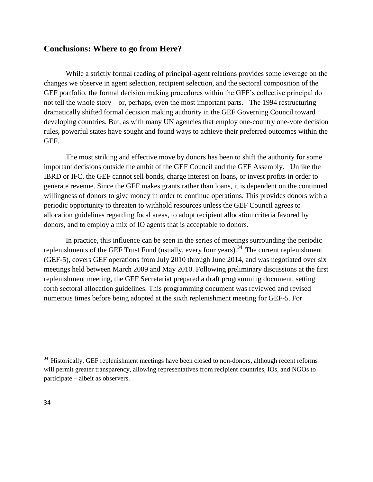# **Conclusions: Where to go from Here?**

While a strictly formal reading of principal-agent relations provides some leverage on the changes we observe in agent selection, recipient selection, and the sectoral composition of the GEF portfolio, the formal decision making procedures within the GEF's collective principal do not tell the whole story – or, perhaps, even the most important parts. The 1994 restructuring dramatically shifted formal decision making authority in the GEF Governing Council toward developing countries. But, as with many UN agencies that employ one-country one-vote decision rules, powerful states have sought and found ways to achieve their preferred outcomes within the GEF.

The most striking and effective move by donors has been to shift the authority for some important decisions outside the ambit of the GEF Council and the GEF Assembly. Unlike the IBRD or IFC, the GEF cannot sell bonds, charge interest on loans, or invest profits in order to generate revenue. Since the GEF makes grants rather than loans, it is dependent on the continued willingness of donors to give money in order to continue operations. This provides donors with a periodic opportunity to threaten to withhold resources unless the GEF Council agrees to allocation guidelines regarding focal areas, to adopt recipient allocation criteria favored by donors, and to employ a mix of IO agents that is acceptable to donors.

In practice, this influence can be seen in the series of meetings surrounding the periodic replenishments of the GEF Trust Fund (usually, every four years).<sup>34</sup> The current replenishment (GEF-5), covers GEF operations from July 2010 through June 2014, and was negotiated over six meetings held between March 2009 and May 2010. Following preliminary discussions at the first replenishment meeting, the GEF Secretariat prepared a draft programming document, setting forth sectoral allocation guidelines. This programming document was reviewed and revised numerous times before being adopted at the sixth replenishment meeting for GEF-5. For

 $34$  Historically, GEF replenishment meetings have been closed to non-donors, although recent reforms will permit greater transparency, allowing representatives from recipient countries, IOs, and NGOs to participate – albeit as observers.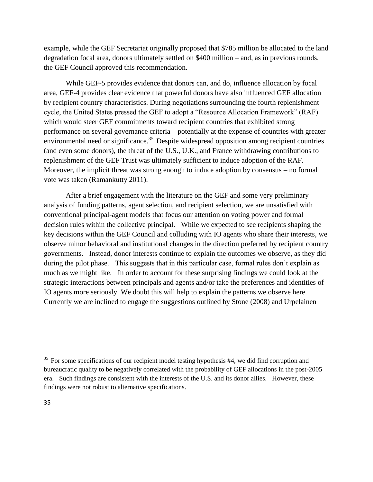example, while the GEF Secretariat originally proposed that \$785 million be allocated to the land degradation focal area, donors ultimately settled on \$400 million – and, as in previous rounds, the GEF Council approved this recommendation.

While GEF-5 provides evidence that donors can, and do, influence allocation by focal area, GEF-4 provides clear evidence that powerful donors have also influenced GEF allocation by recipient country characteristics. During negotiations surrounding the fourth replenishment cycle, the United States pressed the GEF to adopt a "Resource Allocation Framework" (RAF) which would steer GEF commitments toward recipient countries that exhibited strong performance on several governance criteria – potentially at the expense of countries with greater environmental need or significance.<sup>35</sup> Despite widespread opposition among recipient countries (and even some donors), the threat of the U.S., U.K., and France withdrawing contributions to replenishment of the GEF Trust was ultimately sufficient to induce adoption of the RAF. Moreover, the implicit threat was strong enough to induce adoption by consensus – no formal vote was taken (Ramankutty 2011).

After a brief engagement with the literature on the GEF and some very preliminary analysis of funding patterns, agent selection, and recipient selection, we are unsatisfied with conventional principal-agent models that focus our attention on voting power and formal decision rules within the collective principal. While we expected to see recipients shaping the key decisions within the GEF Council and colluding with IO agents who share their interests, we observe minor behavioral and institutional changes in the direction preferred by recipient country governments. Instead, donor interests continue to explain the outcomes we observe, as they did during the pilot phase. This suggests that in this particular case, formal rules don't explain as much as we might like. In order to account for these surprising findings we could look at the strategic interactions between principals and agents and/or take the preferences and identities of IO agents more seriously. We doubt this will help to explain the patterns we observe here. Currently we are inclined to engage the suggestions outlined by Stone (2008) and Urpelainen

<sup>&</sup>lt;sup>35</sup> For some specifications of our recipient model testing hypothesis #4, we did find corruption and bureaucratic quality to be negatively correlated with the probability of GEF allocations in the post-2005 era. Such findings are consistent with the interests of the U.S. and its donor allies. However, these findings were not robust to alternative specifications.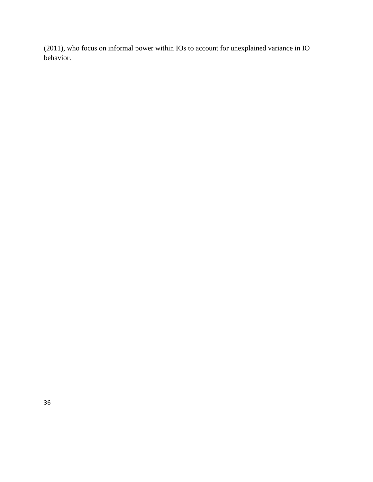(2011), who focus on informal power within IOs to account for unexplained variance in IO behavior.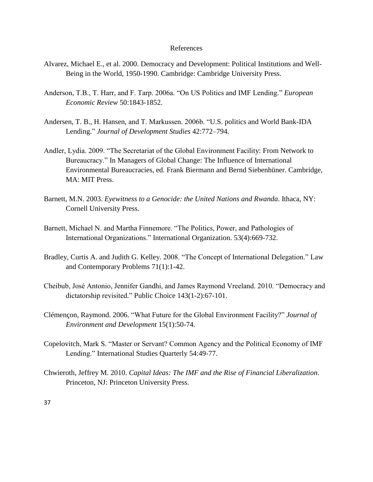#### References

- Alvarez, Michael E., et al. 2000. Democracy and Development: Political Institutions and Well-Being in the World, 1950-1990. Cambridge: Cambridge University Press.
- Anderson, T.B., T. Harr, and F. Tarp. 2006a. "On US Politics and IMF Lending." *European Economic Review* 50:1843-1852.
- Andersen, T. B., H. Hansen, and T. Markussen. 2006b. "U.S. politics and World Bank-IDA Lending.‖ *Journal of Development Studies* 42:772–794.
- Andler, Lydia. 2009. "The Secretariat of the Global Environment Facility: From Network to Bureaucracy." In Managers of Global Change: The Influence of International Environmental Bureaucracies, ed. Frank Biermann and Bernd Siebenhüner. Cambridge, MA: MIT Press.
- Barnett, M.N. 2003. *Eyewitness to a Genocide: the United Nations and Rwanda*. Ithaca, NY: Cornell University Press.
- Barnett, Michael N. and Martha Finnemore. "The Politics, Power, and Pathologies of International Organizations." International Organization. 53(4):669-732.
- Bradley, Curtis A. and Judith G. Kelley. 2008. "The Concept of International Delegation." Law and Contemporary Problems 71(1):1-42.
- Cheibub, José Antonio, Jennifer Gandhi, and James Raymond Vreeland. 2010. "Democracy and dictatorship revisited." Public Choice 143(1-2):67-101.
- Clémencon, Raymond. 2006. "What Future for the Global Environment Facility?" *Journal of Environment and Development* 15(1):50-74.
- Copelovitch, Mark S. "Master or Servant? Common Agency and the Political Economy of IMF Lending." International Studies Quarterly 54:49-77.
- Chwieroth, Jeffrey M. 2010. *Capital Ideas: The IMF and the Rise of Financial Liberalization*. Princeton, NJ: Princeton University Press.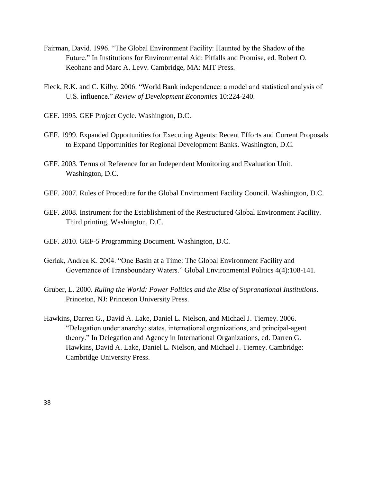- Fairman, David. 1996. "The Global Environment Facility: Haunted by the Shadow of the Future." In Institutions for Environmental Aid: Pitfalls and Promise, ed. Robert O. Keohane and Marc A. Levy. Cambridge, MA: MIT Press.
- Fleck, R.K. and C. Kilby. 2006. "World Bank independence: a model and statistical analysis of U.S. influence.‖ *Review of Development Economics* 10:224-240.
- GEF. 1995. GEF Project Cycle. Washington, D.C.
- GEF. 1999. Expanded Opportunities for Executing Agents: Recent Efforts and Current Proposals to Expand Opportunities for Regional Development Banks. Washington, D.C.
- GEF. 2003. Terms of Reference for an Independent Monitoring and Evaluation Unit. Washington, D.C.
- GEF. 2007. Rules of Procedure for the Global Environment Facility Council. Washington, D.C.
- GEF. 2008. Instrument for the Establishment of the Restructured Global Environment Facility. Third printing, Washington, D.C.
- GEF. 2010. GEF-5 Programming Document. Washington, D.C.
- Gerlak, Andrea K. 2004. "One Basin at a Time: The Global Environment Facility and Governance of Transboundary Waters." Global Environmental Politics 4(4):108-141.
- Gruber, L. 2000. *Ruling the World: Power Politics and the Rise of Supranational Institutions*. Princeton, NJ: Princeton University Press.
- Hawkins, Darren G., David A. Lake, Daniel L. Nielson, and Michael J. Tierney. 2006. ―Delegation under anarchy: states, international organizations, and principal-agent theory." In Delegation and Agency in International Organizations, ed. Darren G. Hawkins, David A. Lake, Daniel L. Nielson, and Michael J. Tierney. Cambridge: Cambridge University Press.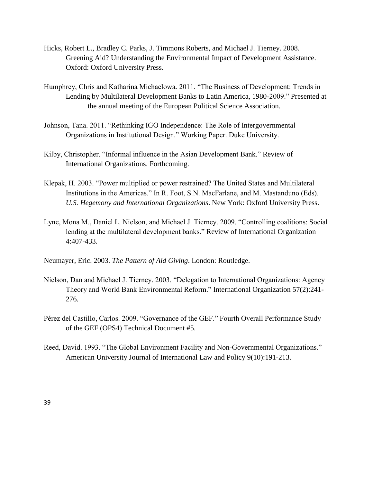- Hicks, Robert L., Bradley C. Parks, J. Timmons Roberts, and Michael J. Tierney. 2008. Greening Aid? Understanding the Environmental Impact of Development Assistance. Oxford: Oxford University Press.
- Humphrey, Chris and Katharina Michaelowa. 2011. "The Business of Development: Trends in Lending by Multilateral Development Banks to Latin America, 1980-2009." Presented at the annual meeting of the European Political Science Association.
- Johnson, Tana. 2011. "Rethinking IGO Independence: The Role of Intergovernmental Organizations in Institutional Design." Working Paper. Duke University.
- Kilby, Christopher. "Informal influence in the Asian Development Bank." Review of International Organizations. Forthcoming.
- Klepak, H. 2003. "Power multiplied or power restrained? The United States and Multilateral Institutions in the Americas." In R. Foot, S.N. MacFarlane, and M. Mastanduno (Eds). *U.S. Hegemony and International Organizations*. New York: Oxford University Press.
- Lyne, Mona M., Daniel L. Nielson, and Michael J. Tierney. 2009. "Controlling coalitions: Social lending at the multilateral development banks." Review of International Organization 4:407-433.
- Neumayer, Eric. 2003. *The Pattern of Aid Giving*. London: Routledge.
- Nielson, Dan and Michael J. Tierney. 2003. "Delegation to International Organizations: Agency Theory and World Bank Environmental Reform." International Organization 57(2):241-276.
- Pérez del Castillo, Carlos. 2009. "Governance of the GEF." Fourth Overall Performance Study of the GEF (OPS4) Technical Document #5.
- Reed, David. 1993. "The Global Environment Facility and Non-Governmental Organizations." American University Journal of International Law and Policy 9(10):191-213.